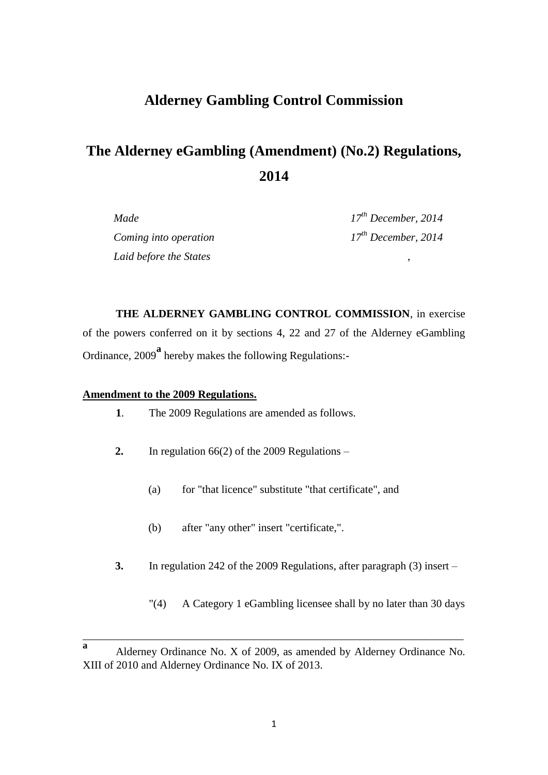# **Alderney Gambling Control Commission**

# **The Alderney eGambling (Amendment) (No.2) Regulations, 2014**

*Coming into operation 17th December, 2014 Laid before the States ,*

*Made 17th December, 2014*

**THE ALDERNEY GAMBLING CONTROL COMMISSION**, in exercise of the powers conferred on it by sections 4, 22 and 27 of the Alderney eGambling Ordinance, 2009**<sup>a</sup>** hereby makes the following Regulations:-

#### **Amendment to the 2009 Regulations.**

- **1**. The 2009 Regulations are amended as follows.
- **2.** In regulation 66(2) of the 2009 Regulations
	- (a) for "that licence" substitute "that certificate", and
	- (b) after "any other" insert "certificate,".
- **3.** In regulation 242 of the 2009 Regulations, after paragraph (3) insert
	- "(4) A Category 1 eGambling licensee shall by no later than 30 days

\_\_\_\_\_\_\_\_\_\_\_\_\_\_\_\_\_\_\_\_\_\_\_\_\_\_\_\_\_\_\_\_\_\_\_\_\_\_\_\_\_\_\_\_\_\_\_\_\_\_\_\_\_\_\_\_\_\_\_\_\_\_\_\_\_\_\_\_\_

**a** Alderney Ordinance No. X of 2009, as amended by Alderney Ordinance No. XIII of 2010 and Alderney Ordinance No. IX of 2013.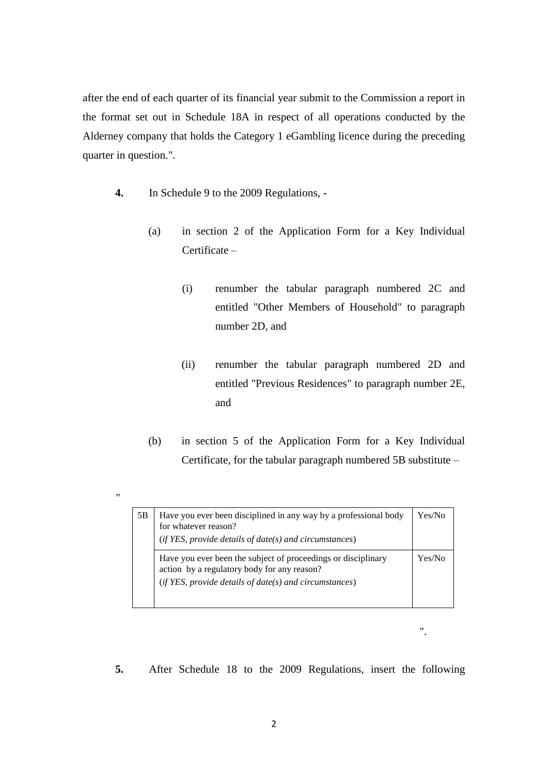after the end of each quarter of its financial year submit to the Commission a report in the format set out in Schedule 18A in respect of all operations conducted by the Alderney company that holds the Category 1 eGambling licence during the preceding quarter in question.".

**4.** In Schedule 9 to the 2009 Regulations, -

"

- (a) in section 2 of the Application Form for a Key Individual Certificate –
	- (i) renumber the tabular paragraph numbered 2C and entitled "Other Members of Household" to paragraph number 2D, and
	- (ii) renumber the tabular paragraph numbered 2D and entitled "Previous Residences" to paragraph number 2E, and
- (b) in section 5 of the Application Form for a Key Individual Certificate, for the tabular paragraph numbered 5B substitute –

| 5Β | Have you ever been disciplined in any way by a professional body<br>for whatever reason?<br>$(if YES, provide details of date(s) and circumstances)$                     | Yes/No |
|----|--------------------------------------------------------------------------------------------------------------------------------------------------------------------------|--------|
|    | Have you ever been the subject of proceedings or disciplinary<br>action by a regulatory body for any reason?<br>$(if YES, provide details of date(s) and circumstances)$ | Yes/No |

".

**5.** After Schedule 18 to the 2009 Regulations, insert the following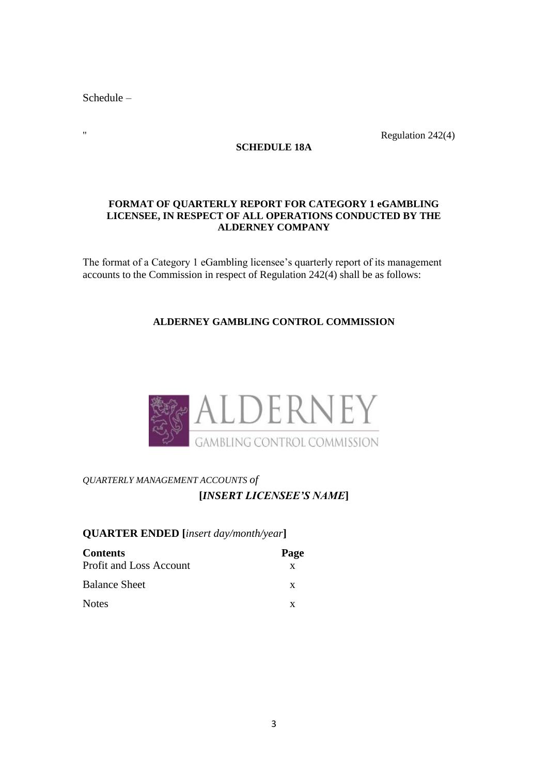Schedule –

" Regulation 242(4)

**SCHEDULE 18A**

#### **FORMAT OF QUARTERLY REPORT FOR CATEGORY 1 eGAMBLING LICENSEE, IN RESPECT OF ALL OPERATIONS CONDUCTED BY THE ALDERNEY COMPANY**

The format of a Category 1 eGambling licensee's quarterly report of its management accounts to the Commission in respect of Regulation 242(4) shall be as follows:

# **ALDERNEY GAMBLING CONTROL COMMISSION**



# *QUARTERLY MANAGEMENT ACCOUNTS of* **[***INSERT LICENSEE'S NAME***]**

# **QUARTER ENDED [***insert day/month/year***]**

| <b>Contents</b>         | Page |
|-------------------------|------|
| Profit and Loss Account | X    |
| <b>Balance Sheet</b>    | X    |
| <b>Notes</b>            | x    |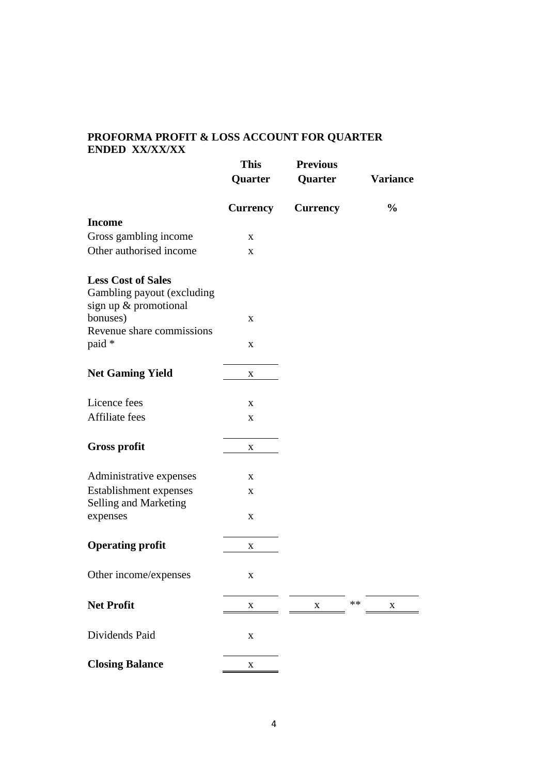#### **PROFORMA PROFIT & LOSS ACCOUNT FOR QUARTER ENDED XX/XX/XX**

|                            | <b>This</b>     | <b>Previous</b> |    |                 |
|----------------------------|-----------------|-----------------|----|-----------------|
|                            | Quarter         | Quarter         |    | <b>Variance</b> |
|                            | <b>Currency</b> | <b>Currency</b> |    | $\frac{0}{0}$   |
| <b>Income</b>              |                 |                 |    |                 |
| Gross gambling income      | X               |                 |    |                 |
| Other authorised income    | X               |                 |    |                 |
| <b>Less Cost of Sales</b>  |                 |                 |    |                 |
| Gambling payout (excluding |                 |                 |    |                 |
| sign up & promotional      |                 |                 |    |                 |
| bonuses)                   | X               |                 |    |                 |
| Revenue share commissions  |                 |                 |    |                 |
| paid *                     | $\mathbf X$     |                 |    |                 |
| <b>Net Gaming Yield</b>    | $\mathbf X$     |                 |    |                 |
| Licence fees               |                 |                 |    |                 |
| Affiliate fees             | X               |                 |    |                 |
|                            | X               |                 |    |                 |
| <b>Gross profit</b>        | $\mathbf X$     |                 |    |                 |
| Administrative expenses    | X               |                 |    |                 |
| Establishment expenses     | X               |                 |    |                 |
| Selling and Marketing      |                 |                 |    |                 |
| expenses                   | $\mathbf X$     |                 |    |                 |
| <b>Operating profit</b>    | $\mathbf X$     |                 |    |                 |
|                            |                 |                 |    |                 |
| Other income/expenses      | X               |                 |    |                 |
| <b>Net Profit</b>          | X               | X               | ** | X               |
| Dividends Paid             | $\mathbf X$     |                 |    |                 |
|                            |                 |                 |    |                 |
| <b>Closing Balance</b>     | X               |                 |    |                 |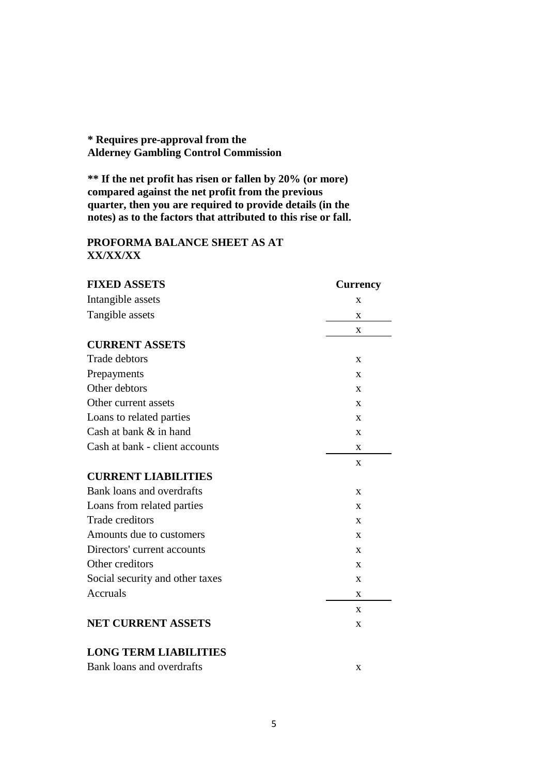# **\* Requires pre-approval from the Alderney Gambling Control Commission**

**\*\* If the net profit has risen or fallen by 20% (or more) compared against the net profit from the previous quarter, then you are required to provide details (in the notes) as to the factors that attributed to this rise or fall.**

#### **PROFORMA BALANCE SHEET AS AT XX/XX/XX**

| <b>FIXED ASSETS</b>              | <b>Currency</b> |
|----------------------------------|-----------------|
| Intangible assets                | X               |
| Tangible assets                  | X               |
|                                  | X               |
| <b>CURRENT ASSETS</b>            |                 |
| <b>Trade debtors</b>             | $\mathbf{X}$    |
| Prepayments                      | $\mathbf X$     |
| Other debtors                    | X               |
| Other current assets             | X               |
| Loans to related parties         | X               |
| Cash at bank & in hand           | X               |
| Cash at bank - client accounts   | X               |
|                                  | $\mathbf{x}$    |
| <b>CURRENT LIABILITIES</b>       |                 |
| <b>Bank loans and overdrafts</b> | X               |
| Loans from related parties       | X               |
| <b>Trade creditors</b>           | X               |
| Amounts due to customers         | X               |
| Directors' current accounts      | X               |
| Other creditors                  | X               |
| Social security and other taxes  | X               |
| <b>Accruals</b>                  | X               |
|                                  | $\mathbf{x}$    |
| <b>NET CURRENT ASSETS</b>        | X               |
| <b>LONG TERM LIABILITIES</b>     |                 |
| Bank loans and overdrafts        | X               |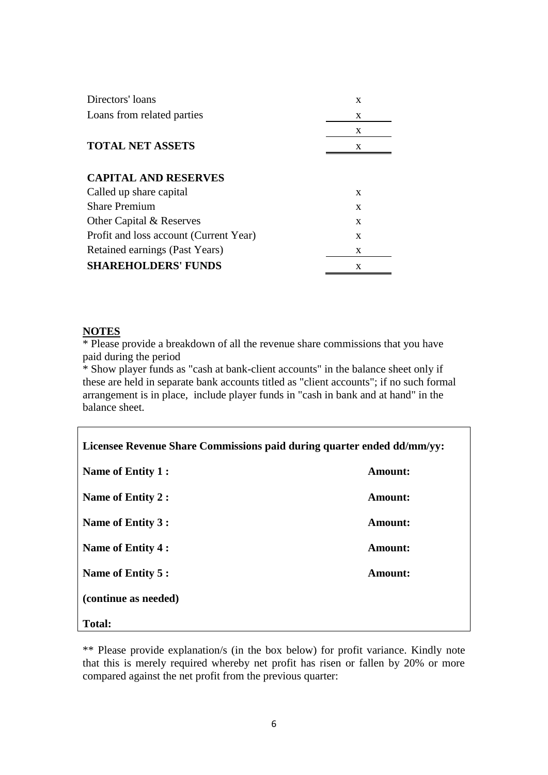| Directors' loans                       | X |
|----------------------------------------|---|
| Loans from related parties             | X |
|                                        | X |
| <b>TOTAL NET ASSETS</b>                | X |
|                                        |   |
| <b>CAPITAL AND RESERVES</b>            |   |
| Called up share capital                | X |
| <b>Share Premium</b>                   | X |
| Other Capital & Reserves               | X |
| Profit and loss account (Current Year) | X |
| Retained earnings (Past Years)         | X |
| <b>SHAREHOLDERS' FUNDS</b>             | X |

#### **NOTES**

\* Please provide a breakdown of all the revenue share commissions that you have paid during the period

\* Show player funds as "cash at bank-client accounts" in the balance sheet only if these are held in separate bank accounts titled as "client accounts"; if no such formal arrangement is in place, include player funds in "cash in bank and at hand" in the balance sheet.

| Licensee Revenue Share Commissions paid during quarter ended dd/mm/yy: |                |  |
|------------------------------------------------------------------------|----------------|--|
| Name of Entity 1 :                                                     | <b>Amount:</b> |  |
| Name of Entity 2 :                                                     | <b>Amount:</b> |  |
| Name of Entity 3 :                                                     | <b>Amount:</b> |  |
| Name of Entity 4 :                                                     | <b>Amount:</b> |  |
| Name of Entity 5 :                                                     | Amount:        |  |
| (continue as needed)                                                   |                |  |
| <b>Total:</b>                                                          |                |  |

\*\* Please provide explanation/s (in the box below) for profit variance. Kindly note that this is merely required whereby net profit has risen or fallen by 20% or more compared against the net profit from the previous quarter: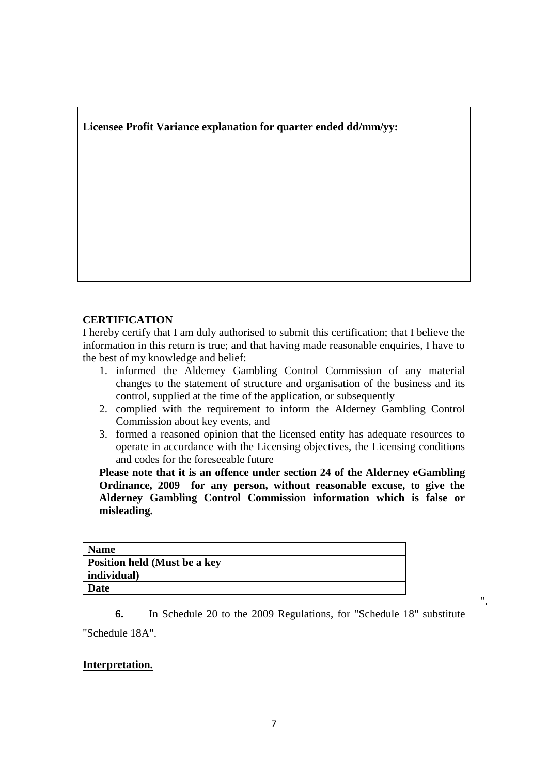**Licensee Profit Variance explanation for quarter ended dd/mm/yy:**

## **CERTIFICATION**

I hereby certify that I am duly authorised to submit this certification; that I believe the information in this return is true; and that having made reasonable enquiries, I have to the best of my knowledge and belief:

- 1. informed the Alderney Gambling Control Commission of any material changes to the statement of structure and organisation of the business and its control, supplied at the time of the application, or subsequently
- 2. complied with the requirement to inform the Alderney Gambling Control Commission about key events, and
- 3. formed a reasoned opinion that the licensed entity has adequate resources to operate in accordance with the Licensing objectives, the Licensing conditions and codes for the foreseeable future

**Please note that it is an offence under section 24 of the Alderney eGambling Ordinance, 2009 for any person, without reasonable excuse, to give the Alderney Gambling Control Commission information which is false or misleading.** 

| <b>Name</b>                  |  |
|------------------------------|--|
| Position held (Must be a key |  |
| individual)                  |  |
| <b>Date</b>                  |  |

**6.** In Schedule 20 to the 2009 Regulations, for "Schedule 18" substitute "Schedule 18A".

".

## **Interpretation.**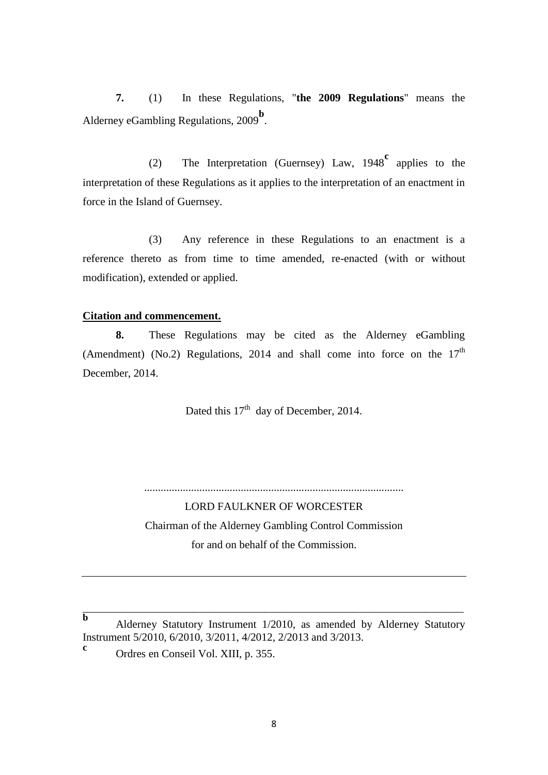**7.** (1) In these Regulations, "**the 2009 Regulations**" means the Alderney eGambling Regulations, 2009<sup>b</sup>.

(2) The Interpretation (Guernsey) Law, 1948**<sup>c</sup>** applies to the interpretation of these Regulations as it applies to the interpretation of an enactment in force in the Island of Guernsey.

(3) Any reference in these Regulations to an enactment is a reference thereto as from time to time amended, re-enacted (with or without modification), extended or applied.

#### **Citation and commencement.**

**8.** These Regulations may be cited as the Alderney eGambling (Amendment) (No.2) Regulations, 2014 and shall come into force on the  $17<sup>th</sup>$ December, 2014.

Dated this  $17<sup>th</sup>$  day of December, 2014.

LORD FAULKNER OF WORCESTER Chairman of the Alderney Gambling Control Commission for and on behalf of the Commission.

..............................................................................................

**b** Alderney Statutory Instrument 1/2010, as amended by Alderney Statutory Instrument 5/2010, 6/2010, 3/2011, 4/2012, 2/2013 and 3/2013.

\_\_\_\_\_\_\_\_\_\_\_\_\_\_\_\_\_\_\_\_\_\_\_\_\_\_\_\_\_\_\_\_\_\_\_\_\_\_\_\_\_\_\_\_\_\_\_\_\_\_\_\_\_\_\_\_\_\_\_\_\_\_\_\_\_\_\_\_\_

**c** Ordres en Conseil Vol. XIII, p. 355.